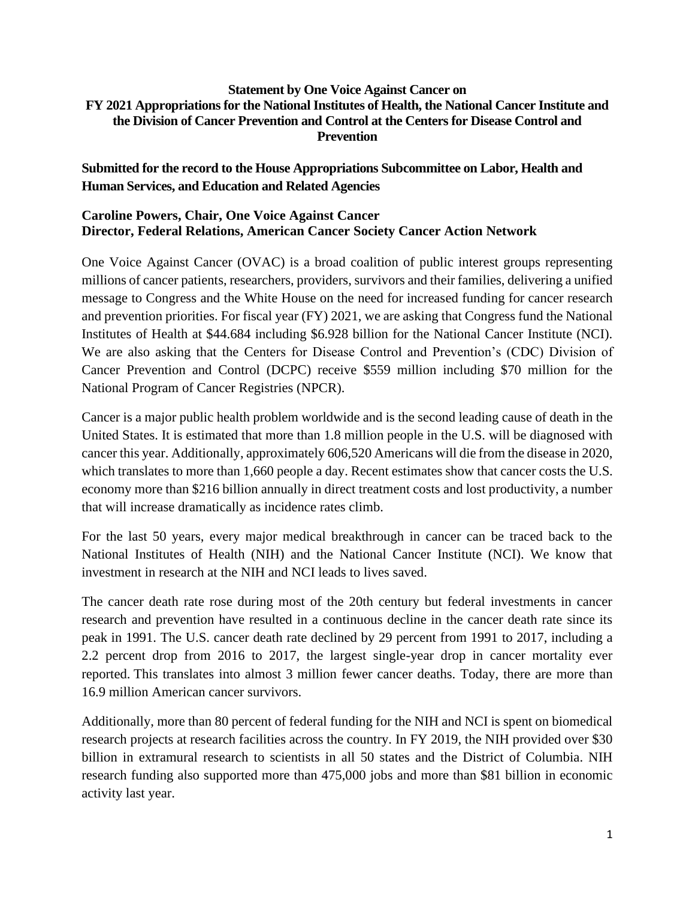#### **Statement by One Voice Against Cancer on FY 2021 Appropriations for the National Institutes of Health, the National Cancer Institute and the Division of Cancer Prevention and Control at the Centers for Disease Control and Prevention**

## **Submitted for the record to the House Appropriations Subcommittee on Labor, Health and Human Services, and Education and Related Agencies**

#### **Caroline Powers, Chair, One Voice Against Cancer Director, Federal Relations, American Cancer Society Cancer Action Network**

One Voice Against Cancer (OVAC) is a broad coalition of public interest groups representing millions of cancer patients, researchers, providers, survivors and their families, delivering a unified message to Congress and the White House on the need for increased funding for cancer research and prevention priorities. For fiscal year (FY) 2021, we are asking that Congress fund the National Institutes of Health at \$44.684 including \$6.928 billion for the National Cancer Institute (NCI). We are also asking that the Centers for Disease Control and Prevention's (CDC) Division of Cancer Prevention and Control (DCPC) receive \$559 million including \$70 million for the National Program of Cancer Registries (NPCR).

Cancer is a major public health problem worldwide and is the second leading cause of death in the United States. It is estimated that more than 1.8 million people in the U.S. will be diagnosed with cancer this year. Additionally, approximately 606,520 Americans will die from the disease in 2020, which translates to more than 1,660 people a day. Recent estimates show that cancer costs the U.S. economy more than \$216 billion annually in direct treatment costs and lost productivity, a number that will increase dramatically as incidence rates climb.

For the last 50 years, every major medical breakthrough in cancer can be traced back to the National Institutes of Health (NIH) and the National Cancer Institute (NCI). We know that investment in research at the NIH and NCI leads to lives saved.

The cancer death rate rose during most of the 20th century but federal investments in cancer research and prevention have resulted in a continuous decline in the cancer death rate since its peak in 1991. The U.S. cancer death rate declined by 29 percent from 1991 to 2017, including a 2.2 percent drop from 2016 to 2017, the largest single-year drop in cancer mortality ever reported. This translates into almost 3 million fewer cancer deaths. Today, there are more than 16.9 million American cancer survivors.

Additionally, more than 80 percent of federal funding for the NIH and NCI is spent on biomedical research projects at research facilities across the country. In FY 2019, the NIH provided over \$30 billion in extramural research to scientists in all 50 states and the District of Columbia. NIH research funding also supported more than 475,000 jobs and more than \$81 billion in economic activity last year.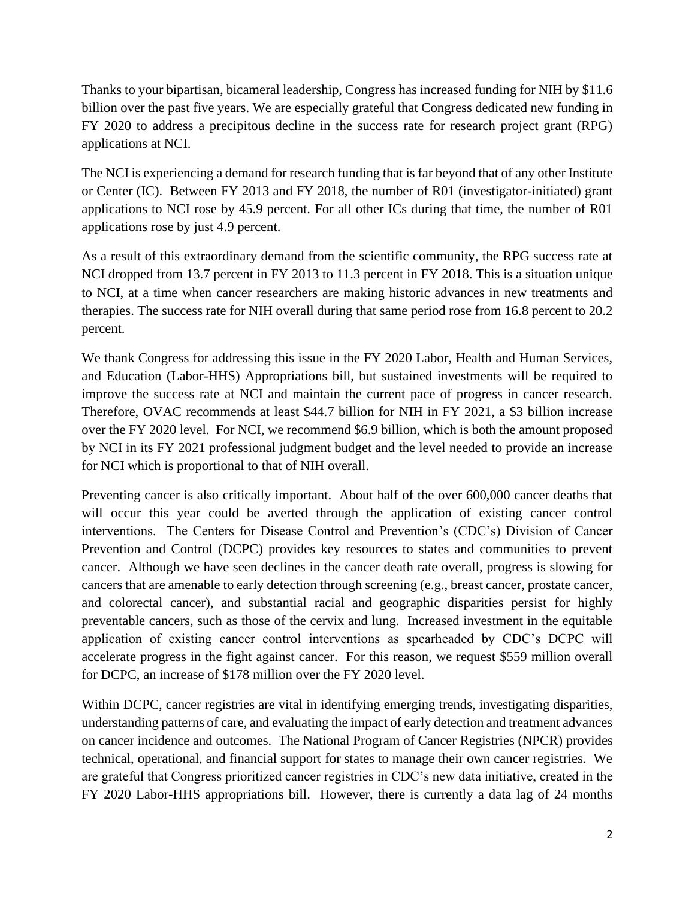Thanks to your bipartisan, bicameral leadership, Congress has increased funding for NIH by \$11.6 billion over the past five years. We are especially grateful that Congress dedicated new funding in FY 2020 to address a precipitous decline in the success rate for research project grant (RPG) applications at NCI.

The NCI is experiencing a demand for research funding that is far beyond that of any other Institute or Center (IC). Between FY 2013 and FY 2018, the number of R01 (investigator-initiated) grant applications to NCI rose by 45.9 percent. For all other ICs during that time, the number of R01 applications rose by just 4.9 percent.

As a result of this extraordinary demand from the scientific community, the RPG success rate at NCI dropped from 13.7 percent in FY 2013 to 11.3 percent in FY 2018. This is a situation unique to NCI, at a time when cancer researchers are making historic advances in new treatments and therapies. The success rate for NIH overall during that same period rose from 16.8 percent to 20.2 percent.

We thank Congress for addressing this issue in the FY 2020 Labor, Health and Human Services, and Education (Labor-HHS) Appropriations bill, but sustained investments will be required to improve the success rate at NCI and maintain the current pace of progress in cancer research. Therefore, OVAC recommends at least \$44.7 billion for NIH in FY 2021, a \$3 billion increase over the FY 2020 level. For NCI, we recommend \$6.9 billion, which is both the amount proposed by NCI in its FY 2021 professional judgment budget and the level needed to provide an increase for NCI which is proportional to that of NIH overall.

Preventing cancer is also critically important. About half of the over 600,000 cancer deaths that will occur this year could be averted through the application of existing cancer control interventions. The Centers for Disease Control and Prevention's (CDC's) Division of Cancer Prevention and Control (DCPC) provides key resources to states and communities to prevent cancer. Although we have seen declines in the cancer death rate overall, progress is slowing for cancers that are amenable to early detection through screening (e.g., breast cancer, prostate cancer, and colorectal cancer), and substantial racial and geographic disparities persist for highly preventable cancers, such as those of the cervix and lung. Increased investment in the equitable application of existing cancer control interventions as spearheaded by CDC's DCPC will accelerate progress in the fight against cancer. For this reason, we request \$559 million overall for DCPC, an increase of \$178 million over the FY 2020 level.

Within DCPC, cancer registries are vital in identifying emerging trends, investigating disparities, understanding patterns of care, and evaluating the impact of early detection and treatment advances on cancer incidence and outcomes. The National Program of Cancer Registries (NPCR) provides technical, operational, and financial support for states to manage their own cancer registries. We are grateful that Congress prioritized cancer registries in CDC's new data initiative, created in the FY 2020 Labor-HHS appropriations bill. However, there is currently a data lag of 24 months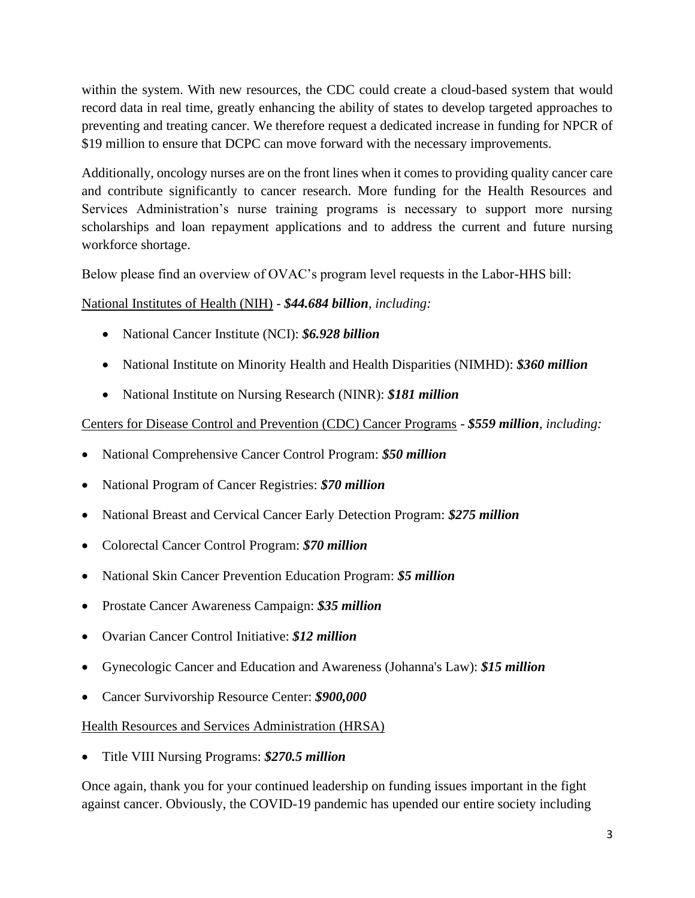within the system. With new resources, the CDC could create a cloud-based system that would record data in real time, greatly enhancing the ability of states to develop targeted approaches to preventing and treating cancer. We therefore request a dedicated increase in funding for NPCR of \$19 million to ensure that DCPC can move forward with the necessary improvements.

Additionally, oncology nurses are on the front lines when it comes to providing quality cancer care and contribute significantly to cancer research. More funding for the Health Resources and Services Administration's nurse training programs is necessary to support more nursing scholarships and loan repayment applications and to address the current and future nursing workforce shortage.

Below please find an overview of OVAC's program level requests in the Labor-HHS bill:

### National Institutes of Health (NIH) - *\$44.684 billion, including:*

- National Cancer Institute (NCI): *\$6.928 billion*
- National Institute on Minority Health and Health Disparities (NIMHD): *\$360 million*
- National Institute on Nursing Research (NINR): *\$181 million*

# Centers for Disease Control and Prevention (CDC) Cancer Programs - *\$559 million, including:*

- National Comprehensive Cancer Control Program: *\$50 million*
- National Program of Cancer Registries: *\$70 million*
- National Breast and Cervical Cancer Early Detection Program: *\$275 million*
- Colorectal Cancer Control Program: *\$70 million*
- National Skin Cancer Prevention Education Program: *\$5 million*
- Prostate Cancer Awareness Campaign: *\$35 million*
- Ovarian Cancer Control Initiative: *\$12 million*
- Gynecologic Cancer and Education and Awareness (Johanna's Law): *\$15 million*
- Cancer Survivorship Resource Center: *\$900,000*

Health Resources and Services Administration (HRSA)

• Title VIII Nursing Programs: *\$270.5 million*

Once again, thank you for your continued leadership on funding issues important in the fight against cancer. Obviously, the COVID-19 pandemic has upended our entire society including